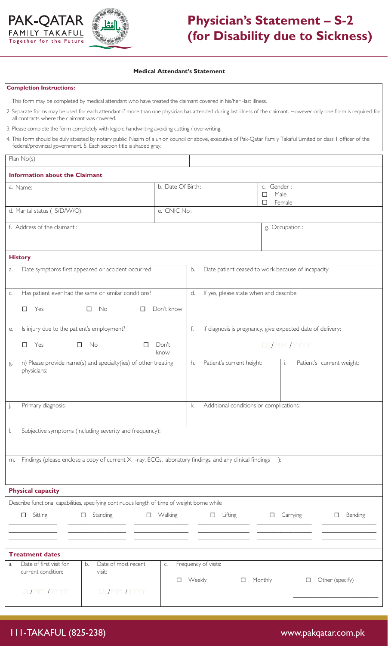



## **Physician's Statement – S-2 (for Disability due to Sickness)**

## **Medical Attendant's Statement**

## **Completion Instructions:**

| 1. This form may be completed by medical attendant who have treated the claimant covered in his/her -last illness. |  |  |  |  |  |
|--------------------------------------------------------------------------------------------------------------------|--|--|--|--|--|
|--------------------------------------------------------------------------------------------------------------------|--|--|--|--|--|

| 2. Separate forms may be used for each attendant if more than one physician has attended during last illness of the claimant. However only one form is required for |  |
|---------------------------------------------------------------------------------------------------------------------------------------------------------------------|--|
| all contracts where the claimant was covered.                                                                                                                       |  |

3. Please complete the form completely with legible handwriting avoiding cutting / overwriting.

4. This form should be duly attested by notary public, Nazim of a union council or above, executive of Pak-Qatar Family Takaful Limited or class 1 officer of the federal/provincial government. 5. Each section title is shaded gray.

| Plan $No(s)$                                                                                                        |               |                                               |                                                                  |  |                                        |  |
|---------------------------------------------------------------------------------------------------------------------|---------------|-----------------------------------------------|------------------------------------------------------------------|--|----------------------------------------|--|
| <b>Information about the Claimant</b>                                                                               |               |                                               |                                                                  |  |                                        |  |
| b. Date Of Birth:<br>a. Name:                                                                                       |               |                                               |                                                                  |  | c. Gender:<br>Male<br>□<br>П<br>Female |  |
| d. Marital status ( S/D/W/O):<br>e. CNIC No:                                                                        |               |                                               |                                                                  |  |                                        |  |
| f. Address of the claimant:                                                                                         |               |                                               |                                                                  |  | g. Occupation:                         |  |
| <b>History</b>                                                                                                      |               |                                               |                                                                  |  |                                        |  |
| Date symptoms first appeared or accident occurred<br>a.                                                             |               |                                               | Date patient ceased to work because of incapacity<br>b.          |  |                                        |  |
| Has patient ever had the same or similar conditions?<br>C.<br>□<br>Yes<br>$\Box$<br>No.<br>$\Box$                   | Don't know    | If yes, please state when and describe:<br>d. |                                                                  |  |                                        |  |
| Is injury due to the patient's employment?<br>е.                                                                    |               |                                               | if diagnosis is pregnancy, give expected date of delivery:<br>f. |  |                                        |  |
| No<br>Yes<br>$\Box$<br>$\Box$                                                                                       | Don't<br>know | DDMM MYYY                                     |                                                                  |  |                                        |  |
| n) Please provide name(s) and specialty(ies) of other treating<br>g.<br>physicians:                                 |               | h.                                            | Patient's current height:                                        |  | Patient's current weight:<br>i.        |  |
| Primary diagnosis:<br>j.                                                                                            |               | k.                                            | Additional conditions or complications:                          |  |                                        |  |
| Subjective symptoms (including severity and frequency):                                                             |               |                                               |                                                                  |  |                                        |  |
| Findings (please enclose a copy of current X -ray, ECGs, laboratory findings, and any clinical findings<br>):<br>m. |               |                                               |                                                                  |  |                                        |  |
| <b>Physical capacity</b>                                                                                            |               |                                               |                                                                  |  |                                        |  |
| Describe functional capabilities, specifying continuous length of time of weight borne while                        |               |                                               |                                                                  |  |                                        |  |

 $\square$  Sitting  $\overline{\phantom{a}}$  $\overline{\phantom{a}}$  $\overline{\phantom{a}}$ Standing  $\frac{1}{2}$  ,  $\frac{1}{2}$  ,  $\frac{1}{2}$  ,  $\frac{1}{2}$  ,  $\frac{1}{2}$  ,  $\frac{1}{2}$  ,  $\frac{1}{2}$  ,  $\frac{1}{2}$  ,  $\frac{1}{2}$  ,  $\frac{1}{2}$  ,  $\frac{1}{2}$  ,  $\frac{1}{2}$  ,  $\frac{1}{2}$  ,  $\frac{1}{2}$  ,  $\frac{1}{2}$  ,  $\frac{1}{2}$  ,  $\frac{1}{2}$  ,  $\frac{1}{2}$  ,  $\frac{1$  $\frac{1}{2}$  ,  $\frac{1}{2}$  ,  $\frac{1}{2}$  ,  $\frac{1}{2}$  ,  $\frac{1}{2}$  ,  $\frac{1}{2}$  ,  $\frac{1}{2}$  ,  $\frac{1}{2}$  ,  $\frac{1}{2}$  ,  $\frac{1}{2}$  ,  $\frac{1}{2}$  ,  $\frac{1}{2}$  ,  $\frac{1}{2}$  ,  $\frac{1}{2}$  ,  $\frac{1}{2}$  ,  $\frac{1}{2}$  ,  $\frac{1}{2}$  ,  $\frac{1}{2}$  ,  $\frac{1$  $\frac{1}{2}$  ,  $\frac{1}{2}$  ,  $\frac{1}{2}$  ,  $\frac{1}{2}$  ,  $\frac{1}{2}$  ,  $\frac{1}{2}$  ,  $\frac{1}{2}$  ,  $\frac{1}{2}$  ,  $\frac{1}{2}$  ,  $\frac{1}{2}$  ,  $\frac{1}{2}$  ,  $\frac{1}{2}$  ,  $\frac{1}{2}$  ,  $\frac{1}{2}$  ,  $\frac{1}{2}$  ,  $\frac{1}{2}$  ,  $\frac{1}{2}$  ,  $\frac{1}{2}$  ,  $\frac{1$ Walking  $\overline{\phantom{a}}$  , where  $\overline{\phantom{a}}$ \_\_\_\_\_\_\_\_\_\_\_\_\_\_\_\_\_\_  $\overline{\phantom{a}}$  , where  $\overline{\phantom{a}}$  $\square$  Lifting  $\overline{\phantom{a}}$  , where  $\overline{\phantom{a}}$  $\overline{\phantom{a}}$  , which is a set of the set of the set of the set of the set of the set of the set of the set of the set of the set of the set of the set of the set of the set of the set of the set of the set of the set of th  $\overline{\phantom{a}}$  , where  $\overline{\phantom{a}}$ Carrying  $\overline{\phantom{a}}$  , where  $\overline{\phantom{a}}$  $\_$  $\overline{\phantom{a}}$  , where  $\overline{\phantom{a}}$ D Bending  $\overline{\phantom{a}}$  , where the contract of the contract of the contract of the contract of the contract of the contract of the contract of the contract of the contract of the contract of the contract of the contract of the contr  $\_$  $\overline{\phantom{a}}$  , where the contract of the contract of the contract of the contract of the contract of the contract of the contract of the contract of the contract of the contract of the contract of the contract of the contr a. Date of first visit for current condition: b. Date of most recent visit: c. Frequency of visits: DD/MM /YYYY DD/MM /YYYY  $\Box$  Weekly  $\Box$  Monthly  $\Box$  Other (specify) \_\_\_\_\_\_\_\_\_\_\_\_\_\_\_\_\_\_\_\_\_\_\_\_\_\_\_\_ **Treatment dates**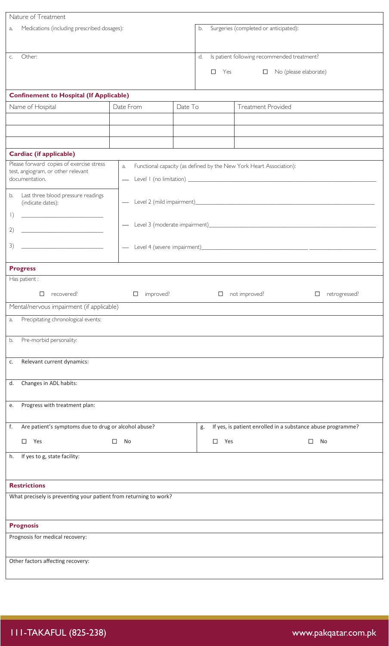| Nature of Treatment                                                                                                                                                                                                                                                                                                                                                                                                                                                                    |                          |                                             |                                                   |        |                                                                     |                         |
|----------------------------------------------------------------------------------------------------------------------------------------------------------------------------------------------------------------------------------------------------------------------------------------------------------------------------------------------------------------------------------------------------------------------------------------------------------------------------------------|--------------------------|---------------------------------------------|---------------------------------------------------|--------|---------------------------------------------------------------------|-------------------------|
| Medications (including prescribed dosages):<br>a.                                                                                                                                                                                                                                                                                                                                                                                                                                      |                          | Surgeries (completed or anticipated):<br>b. |                                                   |        |                                                                     |                         |
| Other:<br>C.                                                                                                                                                                                                                                                                                                                                                                                                                                                                           |                          |                                             | Is patient following recommended treatment?<br>d. |        |                                                                     |                         |
|                                                                                                                                                                                                                                                                                                                                                                                                                                                                                        |                          |                                             |                                                   | □      | Yes<br>$\Box$ No (please elaborate)                                 |                         |
|                                                                                                                                                                                                                                                                                                                                                                                                                                                                                        |                          |                                             |                                                   |        |                                                                     |                         |
| <b>Confinement to Hospital (If Applicable)</b>                                                                                                                                                                                                                                                                                                                                                                                                                                         |                          |                                             |                                                   |        |                                                                     |                         |
| Name of Hospital                                                                                                                                                                                                                                                                                                                                                                                                                                                                       | Date From                | Date To                                     |                                                   |        | Treatment Provided                                                  |                         |
|                                                                                                                                                                                                                                                                                                                                                                                                                                                                                        |                          |                                             |                                                   |        |                                                                     |                         |
|                                                                                                                                                                                                                                                                                                                                                                                                                                                                                        |                          |                                             |                                                   |        |                                                                     |                         |
|                                                                                                                                                                                                                                                                                                                                                                                                                                                                                        |                          |                                             |                                                   |        |                                                                     |                         |
| <b>Cardiac (if applicable)</b>                                                                                                                                                                                                                                                                                                                                                                                                                                                         |                          |                                             |                                                   |        |                                                                     |                         |
| Please forward copies of exercise stress<br>a.<br>test, angiogram, or other relevant<br>documentation.                                                                                                                                                                                                                                                                                                                                                                                 |                          |                                             |                                                   |        | Functional capacity (as defined by the New York Heart Association): |                         |
|                                                                                                                                                                                                                                                                                                                                                                                                                                                                                        |                          |                                             |                                                   |        |                                                                     |                         |
| Last three blood pressure readings<br>b.<br>(indicate dates):                                                                                                                                                                                                                                                                                                                                                                                                                          | $\overline{\phantom{0}}$ |                                             |                                                   |        |                                                                     |                         |
| $\left  \right)$<br><u> 1989 - Johann John Harry Hermer (d. 1989)</u>                                                                                                                                                                                                                                                                                                                                                                                                                  |                          |                                             |                                                   |        |                                                                     |                         |
| 2)<br>$\begin{tabular}{lllllllllllll} \multicolumn{3}{l}{} & \multicolumn{3}{l}{} & \multicolumn{3}{l}{} & \multicolumn{3}{l}{} & \multicolumn{3}{l}{} & \multicolumn{3}{l}{} & \multicolumn{3}{l}{} & \multicolumn{3}{l}{} & \multicolumn{3}{l}{} & \multicolumn{3}{l}{} & \multicolumn{3}{l}{} & \multicolumn{3}{l}{} & \multicolumn{3}{l}{} & \multicolumn{3}{l}{} & \multicolumn{3}{l}{} & \multicolumn{3}{l}{} & \multicolumn{3}{l}{} & \multicolumn{3}{l}{} & \multicolumn{3}{l$ |                          |                                             |                                                   |        |                                                                     |                         |
| 3)                                                                                                                                                                                                                                                                                                                                                                                                                                                                                     |                          |                                             |                                                   |        |                                                                     |                         |
|                                                                                                                                                                                                                                                                                                                                                                                                                                                                                        |                          |                                             |                                                   |        |                                                                     |                         |
| <b>Progress</b>                                                                                                                                                                                                                                                                                                                                                                                                                                                                        |                          |                                             |                                                   |        |                                                                     |                         |
| Has patient :                                                                                                                                                                                                                                                                                                                                                                                                                                                                          |                          |                                             |                                                   |        |                                                                     |                         |
| $\Box$<br>recovered?                                                                                                                                                                                                                                                                                                                                                                                                                                                                   | improved?<br>$\Box$      |                                             |                                                   | $\Box$ | not improved?                                                       | retrogressed?<br>$\Box$ |
| Mental/nervous impairment (if applicable)                                                                                                                                                                                                                                                                                                                                                                                                                                              |                          |                                             |                                                   |        |                                                                     |                         |
| Precipitating chronological events:<br>a.                                                                                                                                                                                                                                                                                                                                                                                                                                              |                          |                                             |                                                   |        |                                                                     |                         |
|                                                                                                                                                                                                                                                                                                                                                                                                                                                                                        |                          |                                             |                                                   |        |                                                                     |                         |
| Pre-morbid personality:<br>b.                                                                                                                                                                                                                                                                                                                                                                                                                                                          |                          |                                             |                                                   |        |                                                                     |                         |
| Relevant current dynamics:<br>c.                                                                                                                                                                                                                                                                                                                                                                                                                                                       |                          |                                             |                                                   |        |                                                                     |                         |
|                                                                                                                                                                                                                                                                                                                                                                                                                                                                                        |                          |                                             |                                                   |        |                                                                     |                         |
| Changes in ADL habits:<br>d.                                                                                                                                                                                                                                                                                                                                                                                                                                                           |                          |                                             |                                                   |        |                                                                     |                         |
|                                                                                                                                                                                                                                                                                                                                                                                                                                                                                        |                          |                                             |                                                   |        |                                                                     |                         |
| Progress with treatment plan:<br>e.                                                                                                                                                                                                                                                                                                                                                                                                                                                    |                          |                                             |                                                   |        |                                                                     |                         |
| f.<br>Are patient's symptoms due to drug or alcohol abuse?<br>If yes, is patient enrolled in a substance abuse programme?<br>g.                                                                                                                                                                                                                                                                                                                                                        |                          |                                             |                                                   |        |                                                                     |                         |
| Yes<br>$\Box$<br>□<br>No                                                                                                                                                                                                                                                                                                                                                                                                                                                               |                          |                                             | $\Box$<br>Yes                                     |        | $\Box$<br>No                                                        |                         |
|                                                                                                                                                                                                                                                                                                                                                                                                                                                                                        |                          |                                             |                                                   |        |                                                                     |                         |
| If yes to g, state facility:<br>h.                                                                                                                                                                                                                                                                                                                                                                                                                                                     |                          |                                             |                                                   |        |                                                                     |                         |
|                                                                                                                                                                                                                                                                                                                                                                                                                                                                                        |                          |                                             |                                                   |        |                                                                     |                         |
| <b>Restrictions</b>                                                                                                                                                                                                                                                                                                                                                                                                                                                                    |                          |                                             |                                                   |        |                                                                     |                         |
| What precisely is preventing your patient from returning to work?                                                                                                                                                                                                                                                                                                                                                                                                                      |                          |                                             |                                                   |        |                                                                     |                         |
|                                                                                                                                                                                                                                                                                                                                                                                                                                                                                        |                          |                                             |                                                   |        |                                                                     |                         |
| <b>Prognosis</b>                                                                                                                                                                                                                                                                                                                                                                                                                                                                       |                          |                                             |                                                   |        |                                                                     |                         |
| Prognosis for medical recovery:                                                                                                                                                                                                                                                                                                                                                                                                                                                        |                          |                                             |                                                   |        |                                                                     |                         |
|                                                                                                                                                                                                                                                                                                                                                                                                                                                                                        |                          |                                             |                                                   |        |                                                                     |                         |
| Other factors affecting recovery:                                                                                                                                                                                                                                                                                                                                                                                                                                                      |                          |                                             |                                                   |        |                                                                     |                         |
|                                                                                                                                                                                                                                                                                                                                                                                                                                                                                        |                          |                                             |                                                   |        |                                                                     |                         |